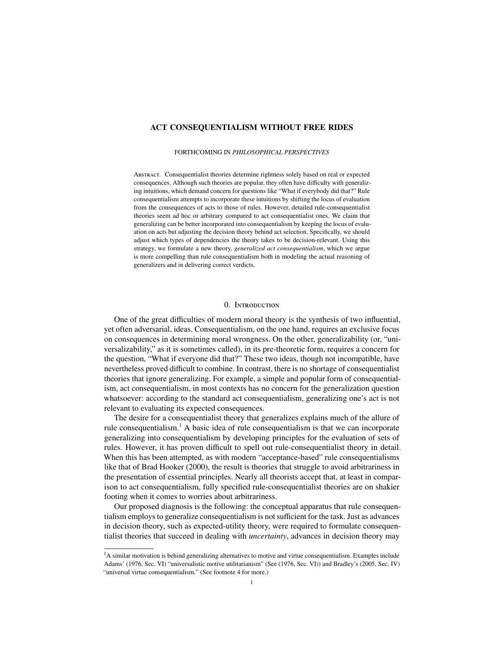# <span id="page-0-0"></span>ACT CONSEQUENTIALISM WITHOUT FREE RIDES

#### FORTHCOMING IN *PHILOSOPHICAL PERSPECTIVES*

Abstract. Consequentialist theories determine rightness solely based on real or expected consequences. Although such theories are popular, they often have difficulty with generalizing intuitions, which demand concern for questions like "What if everybody did that?" Rule consequentialism attempts to incorporate these intuitions by shifting the locus of evaluation from the consequences of acts to those of rules. However, detailed rule-consequentialist theories seem ad hoc or arbitrary compared to act consequentialist ones. We claim that generalizing can be better incorporated into consequentialism by keeping the locus of evaluation on acts but adjusting the decision theory behind act selection. Specifically, we should adjust which types of dependencies the theory takes to be decision-relevant. Using this strategy, we formulate a new theory, *generalized act consequentialism*, which we argue is more compelling than rule consequentialism both in modeling the actual reasoning of generalizers and in delivering correct verdicts.

## 0. Introduction

One of the great difficulties of modern moral theory is the synthesis of two influential, yet often adversarial, ideas. Consequentialism, on the one hand, requires an exclusive focus on consequences in determining moral wrongness. On the other, generalizability (or, "universalizability," as it is sometimes called), in its pre-theoretic form, requires a concern for the question, "What if everyone did that?" These two ideas, though not incompatible, have nevertheless proved difficult to combine. In contrast, there is no shortage of consequentialist theories that ignore generalizing. For example, a simple and popular form of consequentialism, act consequentialism, in most contexts has no concern for the generalization question whatsoever: according to the standard act consequentialism, generalizing one's act is not relevant to evaluating its expected consequences.

The desire for a consequentialist theory that generalizes explains much of the allure of rule consequentialism.<sup>1</sup> A basic idea of rule consequentialism is that we can incorporate generalizing into consequentialism by developing principles for the evaluation of sets of rules. However, it has proven difficult to spell out rule-consequentialist theory in detail. When this has been attempted, as with modern "acceptance-based" rule consequentialisms like that of Brad [Hooker](#page-21-0) [\(2000\)](#page-21-0), the result is theories that struggle to avoid arbitrariness in the presentation of essential principles. Nearly all theorists accept that, at least in comparison to act consequentialism, fully specified rule-consequentialist theories are on shakier footing when it comes to worries about arbitrariness.

Our proposed diagnosis is the following: the conceptual apparatus that rule consequentialism employs to generalize consequentialism is not sufficient for the task. Just as advances in decision theory, such as expected-utility theory, were required to formulate consequentialist theories that succeed in dealing with *uncertainty*, advances in decision theory may

 $<sup>1</sup>A$  similar motivation is behind generalizing alternatives to motive and virtue consequentialism. Examples include</sup> Adams' [\(1976,](#page-20-0) Sec. VI) "universalistic motive utilitarianism" (See [\(1976,](#page-20-0) Sec. VI)) and Bradley's [\(2005,](#page-20-1) Sec. IV) "universal virtue consequentialism." (See footnote 4 for more.)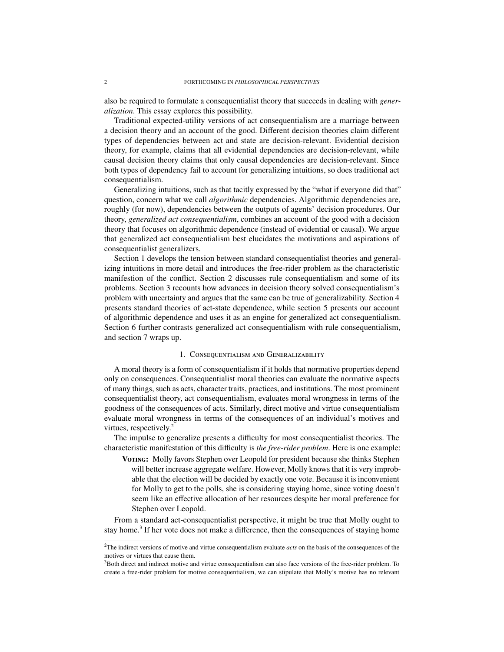also be required to formulate a consequentialist theory that succeeds in dealing with *generalization*. This essay explores this possibility.

Traditional expected-utility versions of act consequentialism are a marriage between a decision theory and an account of the good. Different decision theories claim different types of dependencies between act and state are decision-relevant. Evidential decision theory, for example, claims that all evidential dependencies are decision-relevant, while causal decision theory claims that only causal dependencies are decision-relevant. Since both types of dependency fail to account for generalizing intuitions, so does traditional act consequentialism.

Generalizing intuitions, such as that tacitly expressed by the "what if everyone did that" question, concern what we call *algorithmic* dependencies. Algorithmic dependencies are, roughly (for now), dependencies between the outputs of agents' decision procedures. Our theory, *generalized act consequentialism*, combines an account of the good with a decision theory that focuses on algorithmic dependence (instead of evidential or causal). We argue that generalized act consequentialism best elucidates the motivations and aspirations of consequentialist generalizers.

Section [1](#page-1-0) develops the tension between standard consequentialist theories and generalizing intuitions in more detail and introduces the free-rider problem as the characteristic manifestion of the conflict. Section [2](#page-3-0) discusses rule consequentialism and some of its problems. Section [3](#page-7-0) recounts how advances in decision theory solved consequentialism's problem with uncertainty and argues that the same can be true of generalizability. Section [4](#page-9-0) presents standard theories of act-state dependence, while section [5](#page-12-0) presents our account of algorithmic dependence and uses it as an engine for generalized act consequentialism. Section [6](#page-17-0) further contrasts generalized act consequentialism with rule consequentialism, and section [7](#page-19-0) wraps up.

# 1. Consequentialism and Generalizability

<span id="page-1-0"></span>A moral theory is a form of consequentialism if it holds that normative properties depend only on consequences. Consequentialist moral theories can evaluate the normative aspects of many things, such as acts, character traits, practices, and institutions. The most prominent consequentialist theory, act consequentialism, evaluates moral wrongness in terms of the goodness of the consequences of acts. Similarly, direct motive and virtue consequentialism evaluate moral wrongness in terms of the consequences of an individual's motives and virtues, respectively. $2^2$  $2^2$ 

The impulse to generalize presents a difficulty for most consequentialist theories. The characteristic manifestation of this difficulty is *the free-rider problem*. Here is one example:

VOTING: Molly favors Stephen over Leopold for president because she thinks Stephen will better increase aggregate welfare. However, Molly knows that it is very improbable that the election will be decided by exactly one vote. Because it is inconvenient for Molly to get to the polls, she is considering staying home, since voting doesn't seem like an effective allocation of her resources despite her moral preference for Stephen over Leopold.

From a standard act-consequentialist perspective, it might be true that Molly ought to stay home.<sup>[3](#page-0-0)</sup> If her vote does not make a difference, then the consequences of staying home

<sup>2</sup>The indirect versions of motive and virtue consequentialism evaluate *acts* on the basis of the consequences of the motives or virtues that cause them.

<sup>3</sup>Both direct and indirect motive and virtue consequentialism can also face versions of the free-rider problem. To create a free-rider problem for motive consequentialism, we can stipulate that Molly's motive has no relevant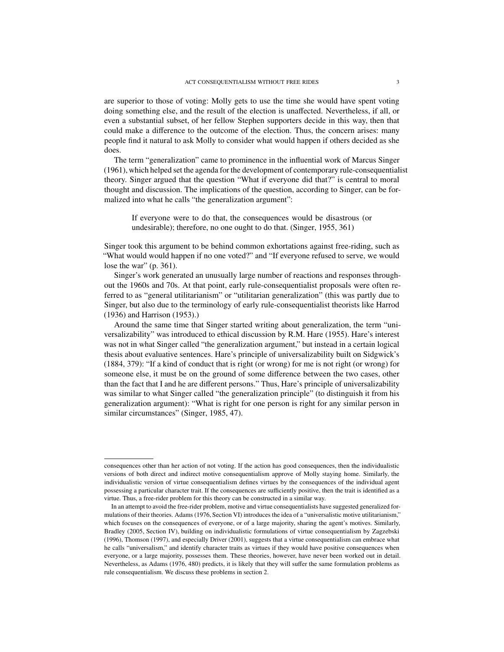are superior to those of voting: Molly gets to use the time she would have spent voting doing something else, and the result of the election is unaffected. Nevertheless, if all, or even a substantial subset, of her fellow Stephen supporters decide in this way, then that could make a difference to the outcome of the election. Thus, the concern arises: many people find it natural to ask Molly to consider what would happen if others decided as she does.

The term "generalization" came to prominence in the influential work of Marcus [Singer](#page-21-1) [\(1961\)](#page-21-1), which helped set the agenda for the development of contemporary rule-consequentialist theory. Singer argued that the question "What if everyone did that?" is central to moral thought and discussion. The implications of the question, according to Singer, can be formalized into what he calls "the generalization argument":

If everyone were to do that, the consequences would be disastrous (or undesirable); therefore, no one ought to do that. [\(Singer,](#page-21-2) [1955,](#page-21-2) 361)

Singer took this argument to be behind common exhortations against free-riding, such as "What would would happen if no one voted?" and "If everyone refused to serve, we would lose the war" (p. 361).

Singer's work generated an unusually large number of reactions and responses throughout the 1960s and 70s. At that point, early rule-consequentialist proposals were often referred to as "general utilitarianism" or "utilitarian generalization" (this was partly due to Singer, but also due to the terminology of early rule-consequentialist theorists like [Harrod](#page-21-3) [\(1936\)](#page-21-3) and [Harrison](#page-21-4) [\(1953\)](#page-21-4).)

Around the same time that Singer started writing about generalization, the term "universalizability" was introduced to ethical discussion by R.M. [Hare](#page-21-5) [\(1955\)](#page-21-5). Hare's interest was not in what Singer called "the generalization argument," but instead in a certain logical thesis about evaluative sentences. Hare's principle of universalizability built on Sidgwick's [\(1884,](#page-21-6) 379): "If a kind of conduct that is right (or wrong) for me is not right (or wrong) for someone else, it must be on the ground of some difference between the two cases, other than the fact that I and he are different persons." Thus, Hare's principle of universalizability was similar to what Singer called "the generalization principle" (to distinguish it from his generalization argument): "What is right for one person is right for any similar person in similar circumstances" [\(Singer,](#page-21-7) [1985,](#page-21-7) 47).

consequences other than her action of not voting. If the action has good consequences, then the individualistic versions of both direct and indirect motive consequentialism approve of Molly staying home. Similarly, the individualistic version of virtue consequentialism defines virtues by the consequences of the individual agent possessing a particular character trait. If the consequences are sufficiently positive, then the trait is identified as a virtue. Thus, a free-rider problem for this theory can be constructed in a similar way.

In an attempt to avoid the free-rider problem, motive and virtue consequentialists have suggested generalized formulations of their theories. [Adams](#page-20-0) [\(1976,](#page-20-0) Section VI) introduces the idea of a "universalistic motive utilitarianism," which focuses on the consequences of everyone, or of a large majority, sharing the agent's motives. Similarly, [Bradley](#page-20-1) [\(2005,](#page-20-1) Section IV), building on individualistic formulations of virtue consequentialism by [Zagzebski](#page-22-0) [\(1996\)](#page-22-0), [Thomson](#page-22-1) [\(1997\)](#page-22-1), and especially [Driver](#page-20-2) [\(2001\)](#page-20-2), suggests that a virtue consequentialism can embrace what he calls "universalism," and identify character traits as virtues if they would have positive consequences when everyone, or a large majority, possesses them. These theories, however, have never been worked out in detail. Nevertheless, as [Adams](#page-20-0) [\(1976,](#page-20-0) 480) predicts, it is likely that they will suffer the same formulation problems as rule consequentialism. We discuss these problems in section [2.](#page-3-0)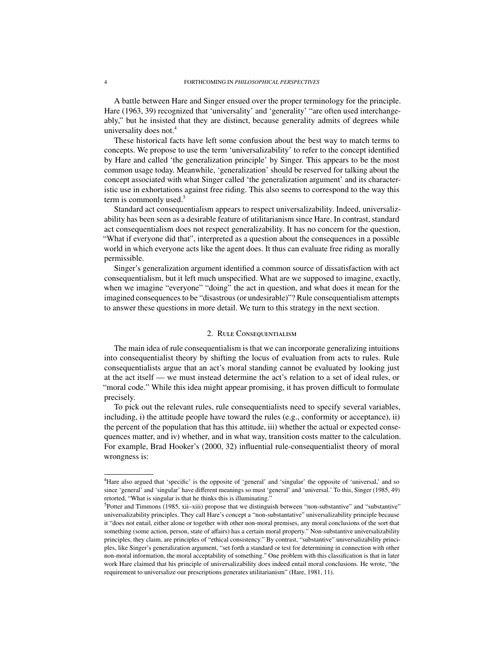A battle between Hare and Singer ensued over the proper terminology for the principle. [Hare](#page-21-8) [\(1963,](#page-21-8) 39) recognized that 'universality' and 'generality' "are often used interchangeably," but he insisted that they are distinct, because generality admits of degrees while universality does not.<sup>[4](#page-0-0)</sup>

These historical facts have left some confusion about the best way to match terms to concepts. We propose to use the term 'universalizability' to refer to the concept identified by Hare and called 'the generalization principle' by Singer. This appears to be the most common usage today. Meanwhile, 'generalization' should be reserved for talking about the concept associated with what Singer called 'the generalization argument' and its characteristic use in exhortations against free riding. This also seems to correspond to the way this term is commonly used. $5$ 

Standard act consequentialism appears to respect universalizability. Indeed, universalizability has been seen as a desirable feature of utilitarianism since Hare. In contrast, standard act consequentialism does not respect generalizability. It has no concern for the question, "What if everyone did that", interpreted as a question about the consequences in a possible world in which everyone acts like the agent does. It thus can evaluate free riding as morally permissible.

Singer's generalization argument identified a common source of dissatisfaction with act consequentialism, but it left much unspecified. What are we supposed to imagine, exactly, when we imagine "everyone" "doing" the act in question, and what does it mean for the imagined consequences to be "disastrous (or undesirable)"? Rule consequentialism attempts to answer these questions in more detail. We turn to this strategy in the next section.

### 2. RULE CONSEQUENTIALISM

<span id="page-3-0"></span>The main idea of rule consequentialism is that we can incorporate generalizing intuitions into consequentialist theory by shifting the locus of evaluation from acts to rules. Rule consequentialists argue that an act's moral standing cannot be evaluated by looking just at the act itself — we must instead determine the act's relation to a set of ideal rules, or "moral code." While this idea might appear promising, it has proven difficult to formulate precisely.

To pick out the relevant rules, rule consequentialists need to specify several variables, including, i) the attitude people have toward the rules (e.g., conformity or acceptance), ii) the percent of the population that has this attitude, iii) whether the actual or expected consequences matter, and iv) whether, and in what way, transition costs matter to the calculation. For example, Brad Hooker's [\(2000,](#page-21-0) 32) influential rule-consequentialist theory of moral wrongness is:

<sup>4</sup>Hare also argued that 'specific' is the opposite of 'general' and 'singular' the opposite of 'universal,' and so since 'general' and 'singular' have different meanings so must 'general' and 'universal.' To this, [Singer](#page-21-7) [\(1985,](#page-21-7) 49) retorted, "What is singular is that he thinks this is illuminating."

<sup>&</sup>lt;sup>5</sup>[Potter and Timmons](#page-21-9) [\(1985,](#page-21-9) xii–xiii) propose that we distinguish between "non-substantive" and "substantive" universalizability principles. They call Hare's concept a "non-substantative" universalizability principle because it "does not entail, either alone or together with other non-moral premises, any moral conclusions of the sort that something (some action, person, state of affairs) has a certain moral property." Non-substantive universalizability principles, they claim, are principles of "ethical consistency." By contrast, "substantive" universalizability principles, like Singer's generalization argument, "set forth a standard or test for determining in connection with other non-moral information, the moral acceptability of something." One problem with this classification is that in later work Hare claimed that his principle of universalizability does indeed entail moral conclusions. He wrote, "the requirement to universalize our prescriptions generates utilitarianism" [\(Hare,](#page-21-10) [1981,](#page-21-10) 11).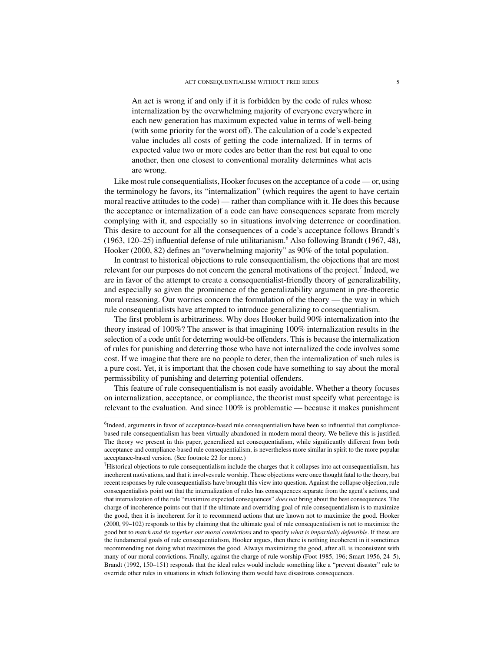An act is wrong if and only if it is forbidden by the code of rules whose internalization by the overwhelming majority of everyone everywhere in each new generation has maximum expected value in terms of well-being (with some priority for the worst off). The calculation of a code's expected value includes all costs of getting the code internalized. If in terms of expected value two or more codes are better than the rest but equal to one another, then one closest to conventional morality determines what acts are wrong.

Like most rule consequentialists, Hooker focuses on the acceptance of a code — or, using the terminology he favors, its "internalization" (which requires the agent to have certain moral reactive attitudes to the code) — rather than compliance with it. He does this because the acceptance or internalization of a code can have consequences separate from merely complying with it, and especially so in situations involving deterrence or coordination. This desire to account for all the consequences of a code's acceptance follows Brandt's  $(1963, 120-25)$  $(1963, 120-25)$  influential defense of rule utilitarianism.<sup>[6](#page-0-0)</sup> Also following [Brandt](#page-20-4) [\(1967,](#page-20-4) 48), [Hooker](#page-21-0) [\(2000,](#page-21-0) 82) defines an "overwhelming majority" as 90% of the total population.

In contrast to historical objections to rule consequentialism, the objections that are most relevant for our purposes do not concern the general motivations of the project.<sup>[7](#page-0-0)</sup> Indeed, we are in favor of the attempt to create a consequentialist-friendly theory of generalizability, and especially so given the prominence of the generalizability argument in pre-theoretic moral reasoning. Our worries concern the formulation of the theory — the way in which rule consequentialists have attempted to introduce generalizing to consequentialism.

The first problem is arbitrariness. Why does Hooker build 90% internalization into the theory instead of 100%? The answer is that imagining 100% internalization results in the selection of a code unfit for deterring would-be offenders. This is because the internalization of rules for punishing and deterring those who have not internalized the code involves some cost. If we imagine that there are no people to deter, then the internalization of such rules is a pure cost. Yet, it is important that the chosen code have something to say about the moral permissibility of punishing and deterring potential offenders.

This feature of rule consequentialism is not easily avoidable. Whether a theory focuses on internalization, acceptance, or compliance, the theorist must specify what percentage is relevant to the evaluation. And since 100% is problematic — because it makes punishment

<sup>&</sup>lt;sup>6</sup>Indeed, arguments in favor of acceptance-based rule consequentialism have been so influential that compliancebased rule consequentialism has been virtually abandoned in modern moral theory. We believe this is justified. The theory we present in this paper, generalized act consequentialism, while significantly different from both acceptance and compliance-based rule consequentialism, is nevertheless more similar in spirit to the more popular acceptance-based version. (See footnote 22 for more.)

<sup>7</sup>Historical objections to rule consequentialism include the charges that it collapses into act consequentialism, has incoherent motivations, and that it involves rule worship. These objections were once thought fatal to the theory, but recent responses by rule consequentialists have brought this view into question. Against the collapse objection, rule consequentialists point out that the internalization of rules has consequences separate from the agent's actions, and that internalization of the rule "maximize expected consequences" *does not* bring about the best consequences. The charge of incoherence points out that if the ultimate and overriding goal of rule consequentialism is to maximize the good, then it is incoherent for it to recommend actions that are known not to maximize the good. [Hooker](#page-21-0) [\(2000,](#page-21-0) 99–102) responds to this by claiming that the ultimate goal of rule consequentialism is not to maximize the good but to *match and tie together our moral convictions* and to specify *what is impartially defensible*. If these are the fundamental goals of rule consequentialism, Hooker argues, then there is nothing incoherent in it sometimes recommending not doing what maximizes the good. Always maximizing the good, after all, is inconsistent with many of our moral convictions. Finally, against the charge of rule worship [\(Foot](#page-20-5) [1985,](#page-20-5) 196; [Smart](#page-21-11) [1956,](#page-21-11) 24–5), [Brandt](#page-20-6) [\(1992,](#page-20-6) 150–151) responds that the ideal rules would include something like a "prevent disaster" rule to override other rules in situations in which following them would have disastrous consequences.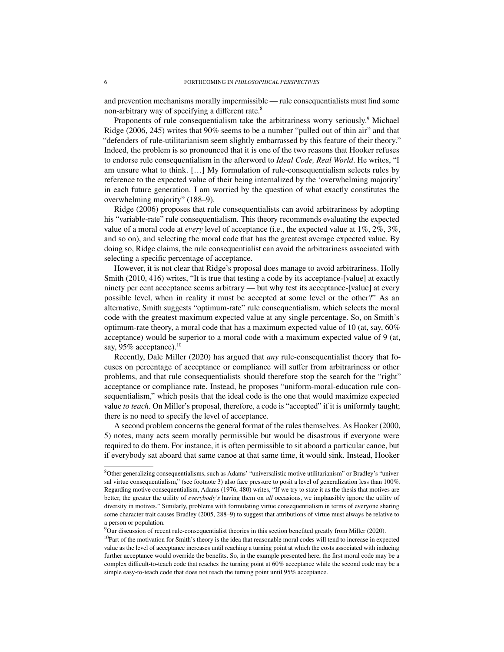and prevention mechanisms morally impermissible — rule consequentialists must find some non-arbitrary way of specifying a different rate.<sup>[8](#page-0-0)</sup>

Proponents of rule consequentialism take the arbitrariness worry seriously.<sup>[9](#page-0-0)</sup> Michael [Ridge](#page-21-12) [\(2006,](#page-21-12) 245) writes that 90% seems to be a number "pulled out of thin air" and that "defenders of rule-utilitarianism seem slightly embarrassed by this feature of their theory." Indeed, the problem is so pronounced that it is one of the two reasons that Hooker refuses to endorse rule consequentialism in the afterword to *Ideal Code, Real World*. He writes, "I am unsure what to think. […] My formulation of rule-consequentialism selects rules by reference to the expected value of their being internalized by the 'overwhelming majority' in each future generation. I am worried by the question of what exactly constitutes the overwhelming majority" (188–9).

[Ridge](#page-21-12) [\(2006\)](#page-21-12) proposes that rule consequentialists can avoid arbitrariness by adopting his "variable-rate" rule consequentialism. This theory recommends evaluating the expected value of a moral code at *every* level of acceptance (i.e., the expected value at 1%, 2%, 3%, and so on), and selecting the moral code that has the greatest average expected value. By doing so, Ridge claims, the rule consequentialist can avoid the arbitrariness associated with selecting a specific percentage of acceptance.

However, it is not clear that Ridge's proposal does manage to avoid arbitrariness. Holly [Smith](#page-22-2) [\(2010,](#page-22-2) 416) writes, "It is true that testing a code by its acceptance-[value] at exactly ninety per cent acceptance seems arbitrary — but why test its acceptance-[value] at every possible level, when in reality it must be accepted at some level or the other?" As an alternative, Smith suggests "optimum-rate" rule consequentialism, which selects the moral code with the greatest maximum expected value at any single percentage. So, on Smith's optimum-rate theory, a moral code that has a maximum expected value of 10 (at, say,  $60\%$ ) acceptance) would be superior to a moral code with a maximum expected value of 9 (at, say, 95% acceptance).<sup>[10](#page-0-0)</sup>

Recently, Dale [Miller](#page-21-13) [\(2020\)](#page-21-13) has argued that *any* rule-consequentialist theory that focuses on percentage of acceptance or compliance will suffer from arbitrariness or other problems, and that rule consequentialists should therefore stop the search for the "right" acceptance or compliance rate. Instead, he proposes "uniform-moral-education rule consequentialism," which posits that the ideal code is the one that would maximize expected value *to teach*. On Miller's proposal, therefore, a code is "accepted" if it is uniformly taught; there is no need to specify the level of acceptance.

A second problem concerns the general format of the rules themselves. As [Hooker](#page-21-0) [\(2000,](#page-21-0) 5) notes, many acts seem morally permissible but would be disastrous if everyone were required to do them. For instance, it is often permissible to sit aboard a particular canoe, but if everybody sat aboard that same canoe at that same time, it would sink. Instead, Hooker

<sup>8</sup>Other generalizing consequentialisms, such as Adams' "universalistic motive utilitarianism" or Bradley's "universal virtue consequentialism," (see footnote [3\)](#page-1-0) also face pressure to posit a level of generalization less than 100%. Regarding motive consequentialism, [Adams](#page-20-0) [\(1976,](#page-20-0) 480) writes, "If we try to state it as the thesis that motives are better, the greater the utility of *everybody's* having them on *all* occasions, we implausibly ignore the utility of diversity in motives." Similarly, problems with formulating virtue consequentialism in terms of everyone sharing some character trait causes [Bradley](#page-20-1) [\(2005,](#page-20-1) 288–9) to suggest that attributions of virtue must always be relative to a person or population.

<sup>&</sup>lt;sup>9</sup>Our discussion of recent rule-consequentialist theories in this section benefited greatly from [Miller](#page-21-13) [\(2020\)](#page-21-13).

<sup>&</sup>lt;sup>10</sup>Part of the motivation for Smith's theory is the idea that reasonable moral codes will tend to increase in expected value as the level of acceptance increases until reaching a turning point at which the costs associated with inducing further acceptance would override the benefits. So, in the example presented here, the first moral code may be a complex difficult-to-teach code that reaches the turning point at 60% acceptance while the second code may be a simple easy-to-teach code that does not reach the turning point until 95% acceptance.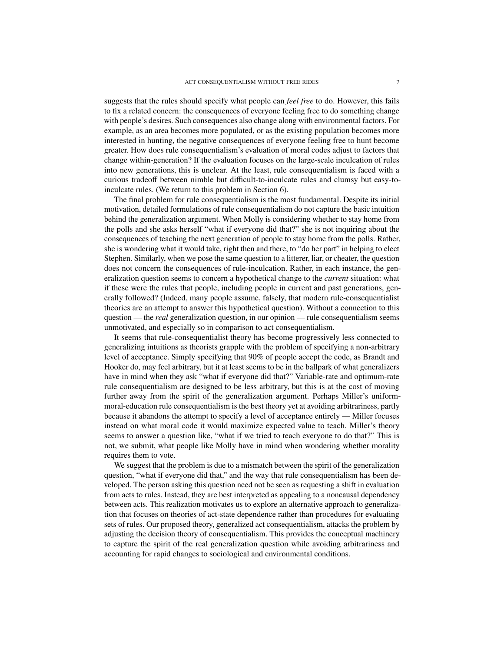suggests that the rules should specify what people can *feel free* to do. However, this fails to fix a related concern: the consequences of everyone feeling free to do something change with people's desires. Such consequences also change along with environmental factors. For example, as an area becomes more populated, or as the existing population becomes more interested in hunting, the negative consequences of everyone feeling free to hunt become greater. How does rule consequentialism's evaluation of moral codes adjust to factors that change within-generation? If the evaluation focuses on the large-scale inculcation of rules into new generations, this is unclear. At the least, rule consequentialism is faced with a curious tradeoff between nimble but difficult-to-inculcate rules and clumsy but easy-toinculcate rules. (We return to this problem in Section 6).

The final problem for rule consequentialism is the most fundamental. Despite its initial motivation, detailed formulations of rule consequentialism do not capture the basic intuition behind the generalization argument. When Molly is considering whether to stay home from the polls and she asks herself "what if everyone did that?" she is not inquiring about the consequences of teaching the next generation of people to stay home from the polls. Rather, she is wondering what it would take, right then and there, to "do her part" in helping to elect Stephen. Similarly, when we pose the same question to a litterer, liar, or cheater, the question does not concern the consequences of rule-inculcation. Rather, in each instance, the generalization question seems to concern a hypothetical change to the *current* situation: what if these were the rules that people, including people in current and past generations, generally followed? (Indeed, many people assume, falsely, that modern rule-consequentialist theories are an attempt to answer this hypothetical question). Without a connection to this question — the *real* generalization question, in our opinion — rule consequentialism seems unmotivated, and especially so in comparison to act consequentialism.

It seems that rule-consequentialist theory has become progressively less connected to generalizing intuitions as theorists grapple with the problem of specifying a non-arbitrary level of acceptance. Simply specifying that 90% of people accept the code, as Brandt and Hooker do, may feel arbitrary, but it at least seems to be in the ballpark of what generalizers have in mind when they ask "what if everyone did that?" Variable-rate and optimum-rate rule consequentialism are designed to be less arbitrary, but this is at the cost of moving further away from the spirit of the generalization argument. Perhaps Miller's uniformmoral-education rule consequentialism is the best theory yet at avoiding arbitrariness, partly because it abandons the attempt to specify a level of acceptance entirely — Miller focuses instead on what moral code it would maximize expected value to teach. Miller's theory seems to answer a question like, "what if we tried to teach everyone to do that?" This is not, we submit, what people like Molly have in mind when wondering whether morality requires them to vote.

We suggest that the problem is due to a mismatch between the spirit of the generalization question, "what if everyone did that," and the way that rule consequentialism has been developed. The person asking this question need not be seen as requesting a shift in evaluation from acts to rules. Instead, they are best interpreted as appealing to a noncausal dependency between acts. This realization motivates us to explore an alternative approach to generalization that focuses on theories of act-state dependence rather than procedures for evaluating sets of rules. Our proposed theory, generalized act consequentialism, attacks the problem by adjusting the decision theory of consequentialism. This provides the conceptual machinery to capture the spirit of the real generalization question while avoiding arbitrariness and accounting for rapid changes to sociological and environmental conditions.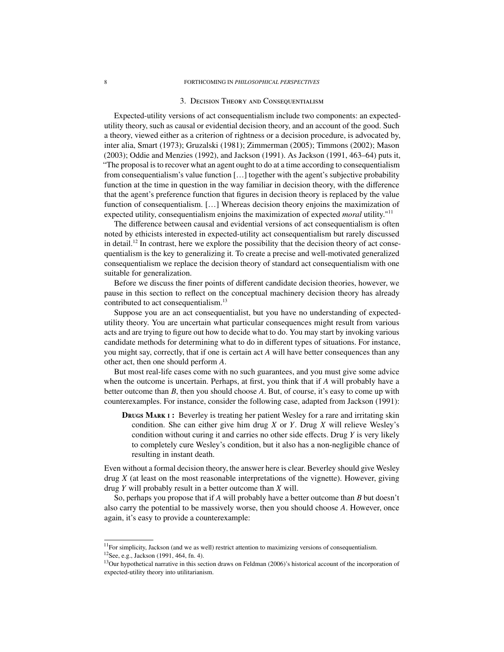### <span id="page-7-0"></span>8 FORTHCOMING IN *PHILOSOPHICAL PERSPECTIVES*

### 3. Decision Theory and Consequentialism

Expected-utility versions of act consequentialism include two components: an expectedutility theory, such as causal or evidential decision theory, and an account of the good. Such a theory, viewed either as a criterion of rightness or a decision procedure, is advocated by, inter alia, [Smart](#page-22-3) [\(1973\)](#page-22-3); [Gruzalski](#page-21-14) [\(1981\)](#page-21-14); [Zimmerman](#page-22-4) [\(2005\)](#page-22-4); [Timmons](#page-22-5) [\(2002\)](#page-22-5); [Mason](#page-21-15) [\(2003\)](#page-21-15); [Oddie and Menzies](#page-21-16) [\(1992\)](#page-21-16), and [Jackson](#page-21-17) [\(1991\)](#page-21-17). As [Jackson](#page-21-17) [\(1991,](#page-21-17) 463–64) puts it, "The proposal is to recover what an agent ought to do at a time according to consequentialism from consequentialism's value function […] together with the agent's subjective probability function at the time in question in the way familiar in decision theory, with the difference that the agent's preference function that figures in decision theory is replaced by the value function of consequentialism. […] Whereas decision theory enjoins the maximization of expected utility, consequentialism enjoins the maximization of expected *moral* utility."[11](#page-0-0)

The difference between causal and evidential versions of act consequentialism is often noted by ethicists interested in expected-utility act consequentialism but rarely discussed in detail.<sup>[12](#page-0-0)</sup> In contrast, here we explore the possibility that the decision theory of act consequentialism is the key to generalizing it. To create a precise and well-motivated generalized consequentialism we replace the decision theory of standard act consequentialism with one suitable for generalization.

Before we discuss the finer points of different candidate decision theories, however, we pause in this section to reflect on the conceptual machinery decision theory has already contributed to act consequentialism.<sup>[13](#page-0-0)</sup>

Suppose you are an act consequentialist, but you have no understanding of expectedutility theory. You are uncertain what particular consequences might result from various acts and are trying to figure out how to decide what to do. You may start by invoking various candidate methods for determining what to do in different types of situations. For instance, you might say, correctly, that if one is certain act *A* will have better consequences than any other act, then one should perform *A*.

But most real-life cases come with no such guarantees, and you must give some advice when the outcome is uncertain. Perhaps, at first, you think that if *A* will probably have a better outcome than *B*, then you should choose *A*. But, of course, it's easy to come up with counterexamples. For instance, consider the following case, adapted from [Jackson](#page-21-17) [\(1991\)](#page-21-17):

DRUGS MARK I: Beverley is treating her patient Wesley for a rare and irritating skin condition. She can either give him drug *X* or *Y*. Drug *X* will relieve Wesley's condition without curing it and carries no other side effects. Drug *Y* is very likely to completely cure Wesley's condition, but it also has a non-negligible chance of resulting in instant death.

Even without a formal decision theory, the answer here is clear. Beverley should give Wesley drug *X* (at least on the most reasonable interpretations of the vignette). However, giving drug *Y* will probably result in a better outcome than *X* will.

So, perhaps you propose that if *A* will probably have a better outcome than *B* but doesn't also carry the potential to be massively worse, then you should choose *A*. However, once again, it's easy to provide a counterexample:

 $11$ For simplicity, Jackson (and we as well) restrict attention to maximizing versions of consequentialism. <sup>12</sup>See, e.g., [Jackson](#page-21-17) [\(1991,](#page-21-17) 464, fn. 4).

<sup>&</sup>lt;sup>13</sup>Our hypothetical narrative in this section draws on [Feldman](#page-20-7) [\(2006\)](#page-20-7)'s historical account of the incorporation of expected-utility theory into utilitarianism.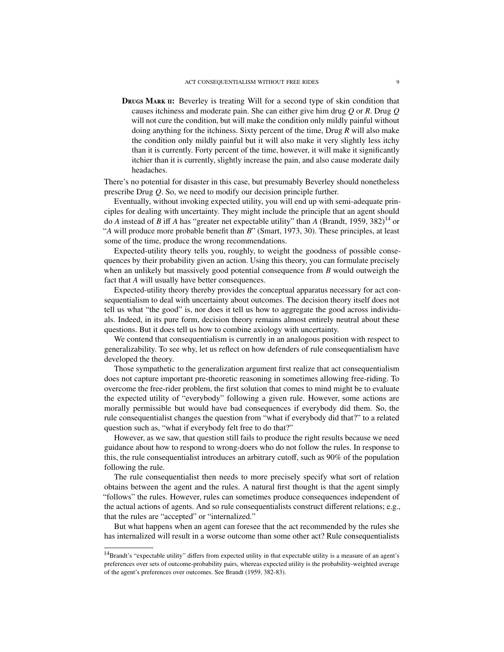**DRUGS MARK II:** Beverley is treating Will for a second type of skin condition that causes itchiness and moderate pain. She can either give him drug *Q* or *R*. Drug *Q* will not cure the condition, but will make the condition only mildly painful without doing anything for the itchiness. Sixty percent of the time, Drug *R* will also make the condition only mildly painful but it will also make it very slightly less itchy than it is currently. Forty percent of the time, however, it will make it significantly itchier than it is currently, slightly increase the pain, and also cause moderate daily headaches.

There's no potential for disaster in this case, but presumably Beverley should nonetheless prescribe Drug *Q*. So, we need to modify our decision principle further.

Eventually, without invoking expected utility, you will end up with semi-adequate principles for dealing with uncertainty. They might include the principle that an agent should do *A* instead of *B* iff *A* has "greater net expectable utility" than *A* [\(Brandt,](#page-20-8) [1959,](#page-20-8) 382)<sup>[14](#page-0-0)</sup> or "*A* will produce more probable benefit than *B*" [\(Smart,](#page-22-3) [1973,](#page-22-3) 30). These principles, at least some of the time, produce the wrong recommendations.

Expected-utility theory tells you, roughly, to weight the goodness of possible consequences by their probability given an action. Using this theory, you can formulate precisely when an unlikely but massively good potential consequence from *B* would outweigh the fact that *A* will usually have better consequences.

Expected-utility theory thereby provides the conceptual apparatus necessary for act consequentialism to deal with uncertainty about outcomes. The decision theory itself does not tell us what "the good" is, nor does it tell us how to aggregate the good across individuals. Indeed, in its pure form, decision theory remains almost entirely neutral about these questions. But it does tell us how to combine axiology with uncertainty.

We contend that consequentialism is currently in an analogous position with respect to generalizability. To see why, let us reflect on how defenders of rule consequentialism have developed the theory.

Those sympathetic to the generalization argument first realize that act consequentialism does not capture important pre-theoretic reasoning in sometimes allowing free-riding. To overcome the free-rider problem, the first solution that comes to mind might be to evaluate the expected utility of "everybody" following a given rule. However, some actions are morally permissible but would have bad consequences if everybody did them. So, the rule consequentialist changes the question from "what if everybody did that?" to a related question such as, "what if everybody felt free to do that?"

However, as we saw, that question still fails to produce the right results because we need guidance about how to respond to wrong-doers who do not follow the rules. In response to this, the rule consequentialist introduces an arbitrary cutoff, such as 90% of the population following the rule.

The rule consequentialist then needs to more precisely specify what sort of relation obtains between the agent and the rules. A natural first thought is that the agent simply "follows" the rules. However, rules can sometimes produce consequences independent of the actual actions of agents. And so rule consequentialists construct different relations; e.g., that the rules are "accepted" or "internalized."

But what happens when an agent can foresee that the act recommended by the rules she has internalized will result in a worse outcome than some other act? Rule consequentialists

<sup>&</sup>lt;sup>14</sup>Brandt's "expectable utility" differs from expected utility in that expectable utility is a measure of an agent's preferences over sets of outcome-probability pairs, whereas expected utility is the probability-weighted average of the agent's preferences over outcomes. See [Brandt](#page-20-8) [\(1959,](#page-20-8) 382-83).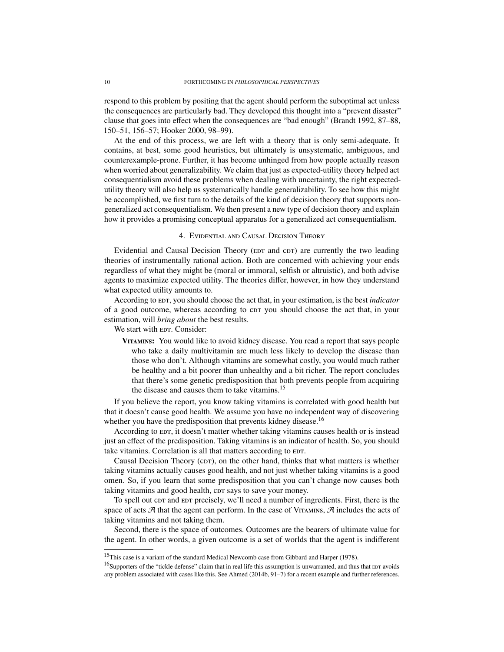respond to this problem by positing that the agent should perform the suboptimal act unless the consequences are particularly bad. They developed this thought into a "prevent disaster" clause that goes into effect when the consequences are "bad enough" [\(Brandt](#page-20-6) [1992,](#page-20-6) 87–88, 150–51, 156–57; [Hooker](#page-21-0) [2000,](#page-21-0) 98–99).

At the end of this process, we are left with a theory that is only semi-adequate. It contains, at best, some good heuristics, but ultimately is unsystematic, ambiguous, and counterexample-prone. Further, it has become unhinged from how people actually reason when worried about generalizability. We claim that just as expected-utility theory helped act consequentialism avoid these problems when dealing with uncertainty, the right expectedutility theory will also help us systematically handle generalizability. To see how this might be accomplished, we first turn to the details of the kind of decision theory that supports nongeneralized act consequentialism. We then present a new type of decision theory and explain how it provides a promising conceptual apparatus for a generalized act consequentialism.

### 4. Evidential and Causal Decision Theory

<span id="page-9-0"></span>Evidential and Causal Decision Theory (EDT and CDT) are currently the two leading theories of instrumentally rational action. Both are concerned with achieving your ends regardless of what they might be (moral or immoral, selfish or altruistic), and both advise agents to maximize expected utility. The theories differ, however, in how they understand what expected utility amounts to.

According to EDT, you should choose the act that, in your estimation, is the best *indicator* of a good outcome, whereas according to cpt you should choose the act that, in your estimation, will *bring about* the best results.

We start with EDT. Consider:

**VITAMINS:** You would like to avoid kidney disease. You read a report that says people who take a daily multivitamin are much less likely to develop the disease than those who don't. Although vitamins are somewhat costly, you would much rather be healthy and a bit poorer than unhealthy and a bit richer. The report concludes that there's some genetic predisposition that both prevents people from acquiring the disease and causes them to take vitamins.<sup>[15](#page-0-0)</sup>

If you believe the report, you know taking vitamins is correlated with good health but that it doesn't cause good health. We assume you have no independent way of discovering whether you have the predisposition that prevents kidney disease.<sup>[16](#page-0-0)</sup>

According to EDT, it doesn't matter whether taking vitamins causes health or is instead just an effect of the predisposition. Taking vitamins is an indicator of health. So, you should take vitamins. Correlation is all that matters according to  $E$ .

Causal Decision Theory (CDT), on the other hand, thinks that what matters is whether taking vitamins actually causes good health, and not just whether taking vitamins is a good omen. So, if you learn that some predisposition that you can't change now causes both taking vitamins and good health, cor says to save your money.

To spell out cor and eor precisely, we'll need a number of ingredients. First, there is the space of acts  $\mathcal A$  that the agent can perform. In the case of VITAMINS,  $\mathcal A$  includes the acts of taking vitamins and not taking them.

Second, there is the space of outcomes. Outcomes are the bearers of ultimate value for the agent. In other words, a given outcome is a set of worlds that the agent is indifferent

<sup>&</sup>lt;sup>15</sup>This case is a variant of the standard Medical Newcomb case from [Gibbard and Harper](#page-20-9) [\(1978\)](#page-20-9).

 $16$ Supporters of the "tickle defense" claim that in real life this assumption is unwarranted, and thus that  $EDT$  avoids any problem associated with cases like this. See [Ahmed](#page-20-10) [\(2014b,](#page-20-10) 91–7) for a recent example and further references.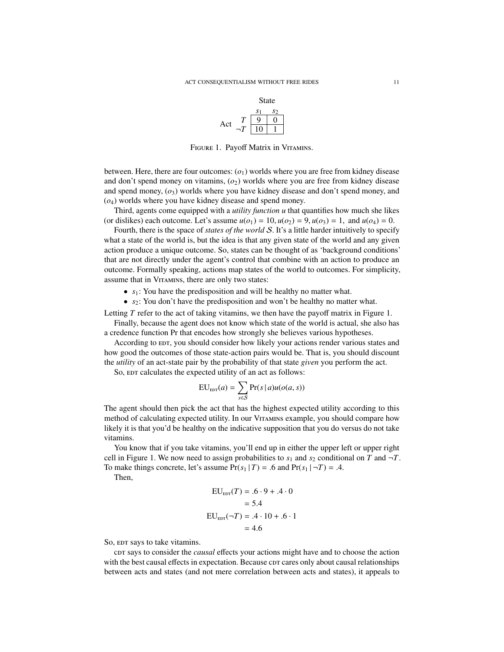

<span id="page-10-0"></span>FIGURE 1. Payoff Matrix in VITAMINS.

between. Here, there are four outcomes: (*o*1) worlds where you are free from kidney disease and don't spend money on vitamins, (*o*2) worlds where you are free from kidney disease and spend money,  $(o_3)$  worlds where you have kidney disease and don't spend money, and (*o*4) worlds where you have kidney disease and spend money.

Third, agents come equipped with a *utility function u* that quantifies how much she likes (or dislikes) each outcome. Let's assume  $u(o_1) = 10$ ,  $u(o_2) = 9$ ,  $u(o_3) = 1$ , and  $u(o_4) = 0$ .

Fourth, there is the space of *states of the world* S. It's a little harder intuitively to specify what a state of the world is, but the idea is that any given state of the world and any given action produce a unique outcome. So, states can be thought of as 'background conditions' that are not directly under the agent's control that combine with an action to produce an outcome. Formally speaking, actions map states of the world to outcomes. For simplicity, assume that in VITAMINS, there are only two states:

- *s*<sub>1</sub>: You have the predisposition and will be healthy no matter what.
- *s*<sub>2</sub>: You don't have the predisposition and won't be healthy no matter what.

Letting *T* refer to the act of taking vitamins, we then have the payoff matrix in Figure 1.

Finally, because the agent does not know which state of the world is actual, she also has a credence function Pr that encodes how strongly she believes various hypotheses.

According to EDT, you should consider how likely your actions render various states and how good the outcomes of those state-action pairs would be. That is, you should discount the *utility* of an act-state pair by the probability of that state *given* you perform the act.

So, EDT calculates the expected utility of an act as follows:

$$
EU_{\text{EDT}}(a) = \sum_{s \in S} Pr(s \mid a) u(o(a, s))
$$

The agent should then pick the act that has the highest expected utility according to this method of calculating expected utility. In our V[itamins](#page-9-0) example, you should compare how likely it is that you'd be healthy on the indicative supposition that you do versus do not take vitamins.

You know that if you take vitamins, you'll end up in either the upper left or upper right cell in Figure 1. We now need to assign probabilities to  $s_1$  and  $s_2$  conditional on *T* and  $\neg T$ . To make things concrete, let's assume  $Pr(s_1 | T) = .6$  and  $Pr(s_1 | \neg T) = .4$ .

Then,

$$
EU_{\text{EDT}}(T) = .6 \cdot 9 + .4 \cdot 0
$$

$$
= 5.4
$$

$$
EU_{\text{EDT}}(\neg T) = .4 \cdot 10 + .6 \cdot 1
$$

$$
= 4.6
$$

So, EDT says to take vitamins.

cor says to consider the *causal* effects your actions might have and to choose the action with the best causal effects in expectation. Because corr cares only about causal relationships between acts and states (and not mere correlation between acts and states), it appeals to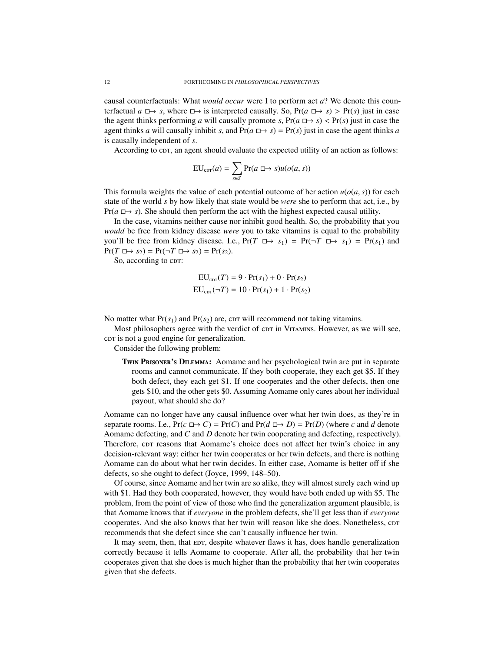causal counterfactuals: What *would occur* were I to perform act *a*? We denote this counterfactual  $a \rightharpoonup s$ , where  $\rightharpoonup$  is interpreted causally. So,  $Pr(a \rightharpoonup s) > Pr(s)$  just in case the agent thinks performing *a* will causally promote *s*,  $Pr(a \rightharpoonup s) < Pr(s)$  just in case the agent thinks *a* will causally inhibit *s*, and  $Pr(a \rightharpoonup s) = Pr(s)$  just in case the agent thinks *a* is causally independent of *s*.

According to cpr, an agent should evaluate the expected utility of an action as follows:

$$
EU_{\text{corr}}(a) = \sum_{s \in S} Pr(a \square \rightarrow s)u(o(a, s))
$$

This formula weights the value of each potential outcome of her action  $u(o(a, s))$  for each state of the world *s* by how likely that state would be *were* she to perform that act, i.e., by  $Pr(a \rightharpoonup s)$ . She should then perform the act with the highest expected causal utility.

In the case, vitamins neither cause nor inhibit good health. So, the probability that you *would* be free from kidney disease *were* you to take vitamins is equal to the probability you'll be free from kidney disease. I.e.,  $Pr(T \implies s_1) = Pr(\neg T \implies s_1) = Pr(s_1)$  and  $Pr(T \square \rightarrow s_2) = Pr(\neg T \square \rightarrow s_2) = Pr(s_2).$ 

So, according to cpr:

$$
EU_{\text{corr}}(T) = 9 \cdot Pr(s_1) + 0 \cdot Pr(s_2)
$$

$$
EU_{\text{corr}}(\neg T) = 10 \cdot Pr(s_1) + 1 \cdot Pr(s_2)
$$

No matter what  $Pr(s_1)$  and  $Pr(s_2)$  are, corn will recommend not taking vitamins.

Most philosophers agree with the verdict of cor in VITAMINS. However, as we will see, cor is not a good engine for generalization.

Consider the following problem:

Twin Prisoner's Dilemma: Aomame and her psychological twin are put in separate rooms and cannot communicate. If they both cooperate, they each get \$5. If they both defect, they each get \$1. If one cooperates and the other defects, then one gets \$10, and the other gets \$0. Assuming Aomame only cares about her individual payout, what should she do?

Aomame can no longer have any causal influence over what her twin does, as they're in separate rooms. I.e.,  $Pr(c \rightharpoonup C) = Pr(C)$  and  $Pr(d \rightharpoonup D) = Pr(D)$  (where *c* and *d* denote Aomame defecting, and *C* and *D* denote her twin cooperating and defecting, respectively). Therefore, cpr reasons that Aomame's choice does not affect her twin's choice in any decision-relevant way: either her twin cooperates or her twin defects, and there is nothing Aomame can do about what her twin decides. In either case, Aomame is better off if she defects, so she ought to defect [\(Joyce,](#page-21-18) [1999,](#page-21-18) 148–50).

Of course, since Aomame and her twin are so alike, they will almost surely each wind up with \$1. Had they both cooperated, however, they would have both ended up with \$5. The problem, from the point of view of those who find the generalization argument plausible, is that Aomame knows that if *everyone* in the problem defects, she'll get less than if *everyone* cooperates. And she also knows that her twin will reason like she does. Nonetheless,  $corr$ recommends that she defect since she can't causally influence her twin.

It may seem, then, that EDT, despite whatever flaws it has, does handle generalization correctly because it tells Aomame to cooperate. After all, the probability that her twin cooperates given that she does is much higher than the probability that her twin cooperates given that she defects.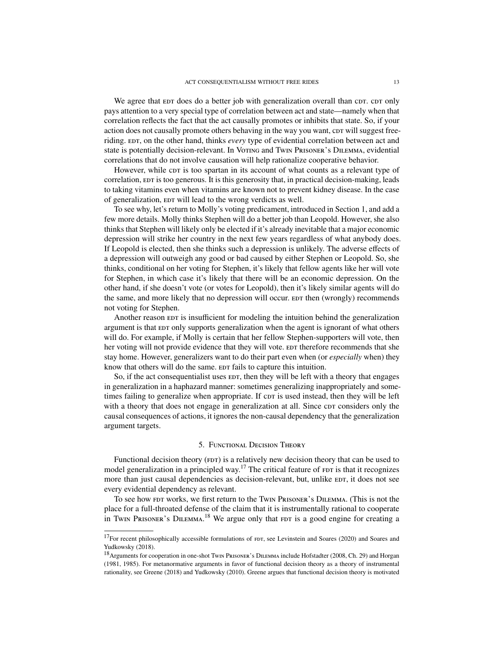We agree that  $E$  does do a better job with generalization overall than cor. cor only pays attention to a very special type of correlation between act and state—namely when that correlation reflects the fact that the act causally promotes or inhibits that state. So, if your action does not causally promote others behaving in the way you want, corr will suggest freeriding. EDT, on the other hand, thinks *every* type of evidential correlation between act and state is potentially decision-relevant. In V[oting](#page-1-0) and Twin P[risoner](#page-10-0)'s Dilemma, evidential correlations that do not involve causation will help rationalize cooperative behavior.

However, while cor is too spartan in its account of what counts as a relevant type of correlation,  $E$ r is too generous. It is this generosity that, in practical decision-making, leads to taking vitamins even when vitamins are known not to prevent kidney disease. In the case of generalization,  $EDT$  will lead to the wrong verdicts as well.

To see why, let's return to Molly's voting predicament, introduced in Section 1, and add a few more details. Molly thinks Stephen will do a better job than Leopold. However, she also thinks that Stephen will likely only be elected if it's already inevitable that a major economic depression will strike her country in the next few years regardless of what anybody does. If Leopold is elected, then she thinks such a depression is unlikely. The adverse effects of a depression will outweigh any good or bad caused by either Stephen or Leopold. So, she thinks, conditional on her voting for Stephen, it's likely that fellow agents like her will vote for Stephen, in which case it's likely that there will be an economic depression. On the other hand, if she doesn't vote (or votes for Leopold), then it's likely similar agents will do the same, and more likely that no depression will occur. EDT then (wrongly) recommends not voting for Stephen.

Another reason  $E$  is insufficient for modeling the intuition behind the generalization argument is that edth only supports generalization when the agent is ignorant of what others will do. For example, if Molly is certain that her fellow Stephen-supporters will vote, then her voting will not provide evidence that they will vote. EDT therefore recommends that she stay home. However, generalizers want to do their part even when (or *especially* when) they know that others will do the same. EDT fails to capture this intuition.

So, if the act consequentialist uses EDT, then they will be left with a theory that engages in generalization in a haphazard manner: sometimes generalizing inappropriately and sometimes failing to generalize when appropriate. If cor is used instead, then they will be left with a theory that does not engage in generalization at all. Since cpt considers only the causal consequences of actions, it ignores the non-causal dependency that the generalization argument targets.

### 5. Functional Decision Theory

<span id="page-12-0"></span>Functional decision theory ( $FDT$ ) is a relatively new decision theory that can be used to model generalization in a principled way.<sup>[17](#page-0-0)</sup> The critical feature of  $F$ ror is that it recognizes more than just causal dependencies as decision-relevant, but, unlike EDT, it does not see every evidential dependency as relevant.

To see how FDT works, we first return to the Twin P[risoner](#page-10-0)'s DILEMMA. (This is not the place for a full-throated defense of the claim that it is instrumentally rational to cooperate in Twin P[risoner](#page-10-0)'s DILEMMA.<sup>[18](#page-0-0)</sup> We argue only that FDT is a good engine for creating a

 $17$ For recent philosophically accessible formulations of  $FDT$ , see [Levinstein and Soares](#page-21-19) [\(2020\)](#page-21-19) and [Soares and](#page-22-6) [Yudkowsky](#page-22-6) [\(2018\)](#page-22-6).

<sup>&</sup>lt;sup>18</sup> Arguments for cooperation in one-shot Twin P[risoner](#page-10-0)'s DILEMMA include [Hofstadter](#page-21-20) [\(2008,](#page-21-20) Ch. 29) and [Horgan](#page-21-21) [\(1981,](#page-21-21) [1985\)](#page-21-22). For metanormative arguments in favor of functional decision theory as a theory of instrumental rationality, see [Greene](#page-21-23) [\(2018\)](#page-21-23) and [Yudkowsky](#page-22-7) [\(2010\)](#page-22-7). Greene argues that functional decision theory is motivated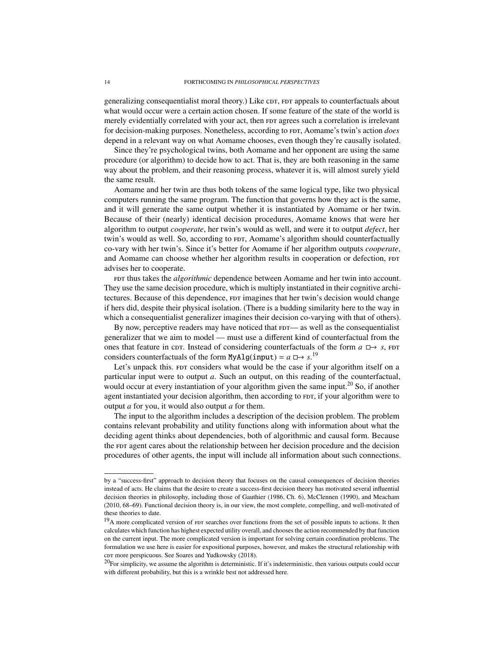generalizing consequentialist moral theory.) Like corr,  $FDT$  appeals to counterfactuals about what would occur were a certain action chosen. If some feature of the state of the world is merely evidentially correlated with your act, then FDT agrees such a correlation is irrelevant for decision-making purposes. Nonetheless, according to FDT, Aomame's twin's action *does* depend in a relevant way on what Aomame chooses, even though they're causally isolated.

Since they're psychological twins, both Aomame and her opponent are using the same procedure (or algorithm) to decide how to act. That is, they are both reasoning in the same way about the problem, and their reasoning process, whatever it is, will almost surely yield the same result.

Aomame and her twin are thus both tokens of the same logical type, like two physical computers running the same program. The function that governs how they act is the same, and it will generate the same output whether it is instantiated by Aomame or her twin. Because of their (nearly) identical decision procedures, Aomame knows that were her algorithm to output *cooperate*, her twin's would as well, and were it to output *defect*, her twin's would as well. So, according to  $FDT$ , Aomame's algorithm should counterfactually co-vary with her twin's. Since it's better for Aomame if her algorithm outputs *cooperate*, and Aomame can choose whether her algorithm results in cooperation or defection, FDT advises her to cooperate.

For thus takes the *algorithmic* dependence between Aomame and her twin into account. They use the same decision procedure, which is multiply instantiated in their cognitive architectures. Because of this dependence,  $FDT$  imagines that her twin's decision would change if hers did, despite their physical isolation. (There is a budding similarity here to the way in which a consequentialist generalizer imagines their decision co-varying with that of others).

By now, perceptive readers may have noticed that  $FDT$ — as well as the consequentialist generalizer that we aim to model — must use a different kind of counterfactual from the ones that feature in cpr. Instead of considering counterfactuals of the form  $a \Box \rightarrow s$ , FDT considers counterfactuals of the form MyAlg(input) =  $a \Box \rightarrow s$ .<sup>[19](#page-0-0)</sup>

Let's unpack this. For considers what would be the case if your algorithm itself on a particular input were to output *a*. Such an output, on this reading of the counterfactual, would occur at every instantiation of your algorithm given the same input.<sup>[20](#page-0-0)</sup> So, if another agent instantiated your decision algorithm, then according to  $F$ , if your algorithm were to output *a* for you, it would also output *a* for them.

The input to the algorithm includes a description of the decision problem. The problem contains relevant probability and utility functions along with information about what the deciding agent thinks about dependencies, both of algorithmic and causal form. Because the *FDT* agent cares about the relationship between her decision procedure and the decision procedures of other agents, the input will include all information about such connections.

by a "success-first" approach to decision theory that focuses on the causal consequences of decision theories instead of acts. He claims that the desire to create a success-first decision theory has motivated several influential decision theories in philosophy, including those of [Gauthier](#page-20-11) [\(1986,](#page-20-11) Ch. 6), [McClennen](#page-21-24) [\(1990\)](#page-21-24), and [Meacham](#page-21-25) [\(2010,](#page-21-25) 68–69). Functional decision theory is, in our view, the most complete, compelling, and well-motivated of these theories to date.

<sup>&</sup>lt;sup>19</sup>A more complicated version of FDT searches over functions from the set of possible inputs to actions. It then calculates which function has highest expected utility overall, and chooses the action recommended by that function on the current input. The more complicated version is important for solving certain coordination problems. The formulation we use here is easier for expositional purposes, however, and makes the structural relationship with cor more perspicuous. See [Soares and Yudkowsky](#page-22-6) [\(2018\)](#page-22-6).

 $20$ For simplicity, we assume the algorithm is deterministic. If it's indeterministic, then various outputs could occur with different probability, but this is a wrinkle best not addressed here.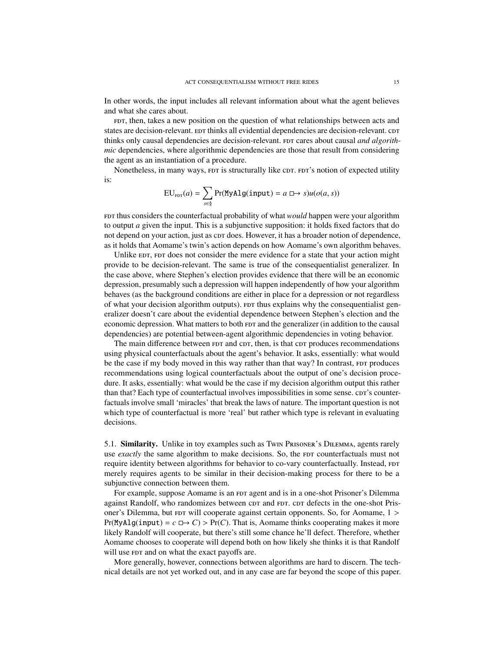In other words, the input includes all relevant information about what the agent believes and what she cares about.

FDT, then, takes a new position on the question of what relationships between acts and states are decision-relevant. EDT thinks all evidential dependencies are decision-relevant. cDT thinks only causal dependencies are decision-relevant. FDT cares about causal *and algorithmic* dependencies, where algorithmic dependencies are those that result from considering the agent as an instantiation of a procedure.

Nonetheless, in many ways, FDT is structurally like CDT. FDT's notion of expected utility is:

$$
EU_{\text{FDT}}(a) = \sum_{s \in \S} Pr(MyAlg(\text{input}) = a \square \rightarrow s)u(o(a, s))
$$

FDT thus considers the counterfactual probability of what *would* happen were your algorithm to output *a* given the input. This is a subjunctive supposition: it holds fixed factors that do not depend on your action, just as c $D$ r does. However, it has a broader notion of dependence, as it holds that Aomame's twin's action depends on how Aomame's own algorithm behaves.

Unlike EDT, FDT does not consider the mere evidence for a state that your action might provide to be decision-relevant. The same is true of the consequentialist generalizer. In the case above, where Stephen's election provides evidence that there will be an economic depression, presumably such a depression will happen independently of how your algorithm behaves (as the background conditions are either in place for a depression or not regardless of what your decision algorithm outputs). For thus explains why the consequentialist generalizer doesn't care about the evidential dependence between Stephen's election and the economic depression. What matters to both  $FDT$  and the generalizer (in addition to the causal dependencies) are potential between-agent algorithmic dependencies in voting behavior.

The main difference between  $FDT$  and c $DT$ , then, is that c $DT$  produces recommendations using physical counterfactuals about the agent's behavior. It asks, essentially: what would be the case if my body moved in this way rather than that way? In contrast, FDT produces recommendations using logical counterfactuals about the output of one's decision procedure. It asks, essentially: what would be the case if my decision algorithm output this rather than that? Each type of counterfactual involves impossibilities in some sense. core's counterfactuals involve small 'miracles' that break the laws of nature. The important question is not which type of counterfactual is more 'real' but rather which type is relevant in evaluating decisions.

5.1. Similarity. Unlike in toy examples such as Twin P[risoner](#page-10-0)'s DILEMMA, agents rarely use *exactly* the same algorithm to make decisions. So, the *FDT* counterfactuals must not require identity between algorithms for behavior to co-vary counterfactually. Instead, FDT merely requires agents to be similar in their decision-making process for there to be a subjunctive connection between them.

For example, suppose Aomame is an FDT agent and is in a one-shot Prisoner's Dilemma against Randolf, who randomizes between corr and FDT. corr defects in the one-shot Prisoner's Dilemma, but  $F$  will cooperate against certain opponents. So, for Aomame,  $1 >$  $Pr(MyAlg(iinput) = c \Box \rightarrow C) > Pr(C)$ . That is, Aomame thinks cooperating makes it more likely Randolf will cooperate, but there's still some chance he'll defect. Therefore, whether Aomame chooses to cooperate will depend both on how likely she thinks it is that Randolf will use FDT and on what the exact payoffs are.

More generally, however, connections between algorithms are hard to discern. The technical details are not yet worked out, and in any case are far beyond the scope of this paper.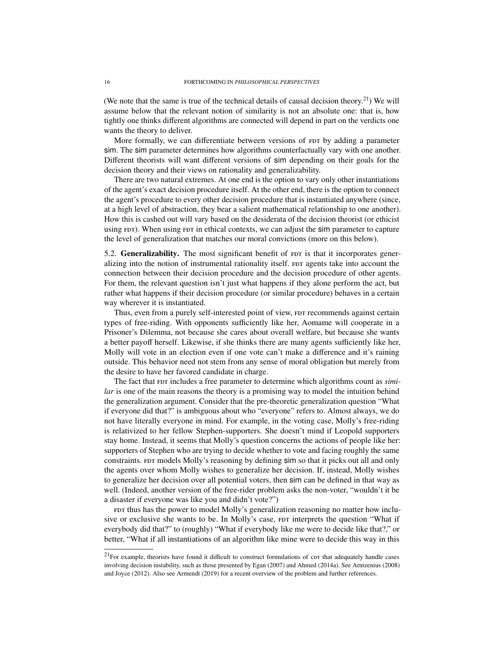(We note that the same is true of the technical details of causal decision theory.<sup>[21](#page-0-0)</sup>) We will assume below that the relevant notion of similarity is not an absolute one: that is, how tightly one thinks different algorithms are connected will depend in part on the verdicts one wants the theory to deliver.

More formally, we can differentiate between versions of  $FDT$  by adding a parameter sim. The sim parameter determines how algorithms counterfactually vary with one another. Different theorists will want different versions of sim depending on their goals for the decision theory and their views on rationality and generalizability.

There are two natural extremes. At one end is the option to vary only other instantiations of the agent's exact decision procedure itself. At the other end, there is the option to connect the agent's procedure to every other decision procedure that is instantiated anywhere (since, at a high level of abstraction, they bear a salient mathematical relationship to one another). How this is cashed out will vary based on the desiderata of the decision theorist (or ethicist using FDT). When using FDT in ethical contexts, we can adjust the sim parameter to capture the level of generalization that matches our moral convictions (more on this below).

5.2. Generalizability. The most significant benefit of FDT is that it incorporates generalizing into the notion of instrumental rationality itself. For agents take into account the connection between their decision procedure and the decision procedure of other agents. For them, the relevant question isn't just what happens if they alone perform the act, but rather what happens if their decision procedure (or similar procedure) behaves in a certain way wherever it is instantiated.

Thus, even from a purely self-interested point of view, FDT recommends against certain types of free-riding. With opponents sufficiently like her, Aomame will cooperate in a Prisoner's Dilemma, not because she cares about overall welfare, but because she wants a better payoff herself. Likewise, if she thinks there are many agents sufficiently like her, Molly will vote in an election even if one vote can't make a difference and it's raining outside. This behavior need not stem from any sense of moral obligation but merely from the desire to have her favored candidate in charge.

The fact that FDT includes a free parameter to determine which algorithms count as *similar* is one of the main reasons the theory is a promising way to model the intuition behind the generalization argument. Consider that the pre-theoretic generalization question "What if everyone did that?" is ambiguous about who "everyone" refers to. Almost always, we do not have literally everyone in mind. For example, in the voting case, Molly's free-riding is relativized to her fellow Stephen-supporters. She doesn't mind if Leopold supporters stay home. Instead, it seems that Molly's question concerns the actions of people like her: supporters of Stephen who are trying to decide whether to vote and facing roughly the same constraints. For models Molly's reasoning by defining sim so that it picks out all and only the agents over whom Molly wishes to generalize her decision. If, instead, Molly wishes to generalize her decision over all potential voters, then sim can be defined in that way as well. (Indeed, another version of the free-rider problem asks the non-voter, "wouldn't it be a disaster if everyone was like you and didn't vote?")

FDT thus has the power to model Molly's generalization reasoning no matter how inclusive or exclusive she wants to be. In Molly's case, FDT interprets the question "What if everybody did that?" to (roughly) "What if everybody like me were to decide like that?," or better, "What if all instantiations of an algorithm like mine were to decide this way in this

 $21$ For example, theorists have found it difficult to construct formulations of cpr that adequately handle cases involving decision instability, such as those presented by [Egan](#page-20-12) [\(2007\)](#page-20-12) and [Ahmed](#page-20-13) [\(2014a\)](#page-20-13). See [Arntzenius](#page-20-14) [\(2008\)](#page-20-14) and [Joyce](#page-21-26) [\(2012\)](#page-21-26). Also see [Armendt](#page-20-15) [\(2019\)](#page-20-15) for a recent overview of the problem and further references.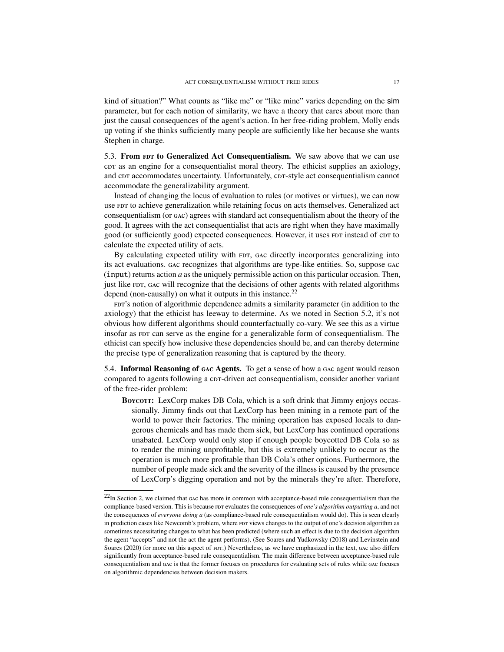kind of situation?" What counts as "like me" or "like mine" varies depending on the sim parameter, but for each notion of similarity, we have a theory that cares about more than just the causal consequences of the agent's action. In her free-riding problem, Molly ends up voting if she thinks sufficiently many people are sufficiently like her because she wants Stephen in charge.

5.3. From FDT to Generalized Act Consequentialism. We saw above that we can use cor as an engine for a consequentialist moral theory. The ethicist supplies an axiology, and corr accommodates uncertainty. Unfortunately, corr-style act consequentialism cannot accommodate the generalizability argument.

Instead of changing the locus of evaluation to rules (or motives or virtues), we can now use  $FDT$  to achieve generalization while retaining focus on acts themselves. Generalized act consequentialism (or gac) agrees with standard act consequentialism about the theory of the good. It agrees with the act consequentialist that acts are right when they have maximally good (or sufficiently good) expected consequences. However, it uses FDT instead of cDT to calculate the expected utility of acts.

By calculating expected utility with FDT, GAC directly incorporates generalizing into its act evaluations. gac recognizes that algorithms are type-like entities. So, suppose gac (input) returns action *a* as the uniquely permissible action on this particular occasion. Then, just like FDT, GAC will recognize that the decisions of other agents with related algorithms depend (non-causally) on what it outputs in this instance.<sup>[22](#page-0-0)</sup>

FDT's notion of algorithmic dependence admits a similarity parameter (in addition to the axiology) that the ethicist has leeway to determine. As we noted in Section 5.2, it's not obvious how different algorithms should counterfactually co-vary. We see this as a virtue insofar as  $F$ ror can serve as the engine for a generalizable form of consequentialism. The ethicist can specify how inclusive these dependencies should be, and can thereby determine the precise type of generalization reasoning that is captured by the theory.

5.4. Informal Reasoning of gac Agents. To get a sense of how a gac agent would reason compared to agents following a cpr-driven act consequentialism, consider another variant of the free-rider problem:

Boycorr: LexCorp makes DB Cola, which is a soft drink that Jimmy enjoys occassionally. Jimmy finds out that LexCorp has been mining in a remote part of the world to power their factories. The mining operation has exposed locals to dangerous chemicals and has made them sick, but LexCorp has continued operations unabated. LexCorp would only stop if enough people boycotted DB Cola so as to render the mining unprofitable, but this is extremely unlikely to occur as the operation is much more profitable than DB Cola's other options. Furthermore, the number of people made sick and the severity of the illness is caused by the presence of LexCorp's digging operation and not by the minerals they're after. Therefore,

 $22$ In Section 2, we claimed that gac has more in common with acceptance-based rule consequentialism than the compliance-based version. This is because FDT evaluates the consequences of *one's algorithm outputting a*, and not the consequences of *everyone doing a* (as compliance-based rule consequentialism would do). This is seen clearly in prediction cases like Newcomb's problem, where FDT views changes to the output of one's decision algorithm as sometimes necessitating changes to what has been predicted (where such an effect is due to the decision algorithm the agent "accepts" and not the act the agent performs). (See [Soares and Yudkowsky](#page-22-6) [\(2018\)](#page-22-6) and [Levinstein and](#page-21-19) [Soares](#page-21-19) [\(2020\)](#page-21-19) for more on this aspect of FDT.) Nevertheless, as we have emphasized in the text, gac also differs significantly from acceptance-based rule consequentialism. The main difference between acceptance-based rule consequentialism and gac is that the former focuses on procedures for evaluating sets of rules while gac focuses on algorithmic dependencies between decision makers.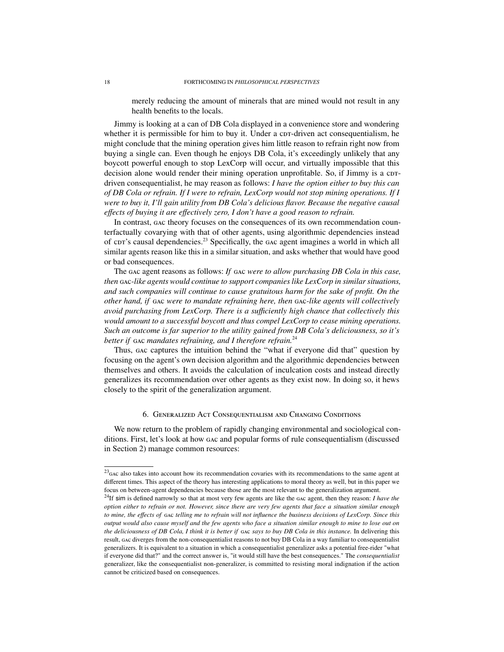merely reducing the amount of minerals that are mined would not result in any health benefits to the locals.

Jimmy is looking at a can of DB Cola displayed in a convenience store and wondering whether it is permissible for him to buy it. Under a cor-driven act consequentialism, he might conclude that the mining operation gives him little reason to refrain right now from buying a single can. Even though he enjoys DB Cola, it's exceedingly unlikely that any boycott powerful enough to stop LexCorp will occur, and virtually impossible that this decision alone would render their mining operation unprofitable. So, if Jimmy is a cordriven consequentialist, he may reason as follows: *I have the option either to buy this can of DB Cola or refrain. If I were to refrain, LexCorp would not stop mining operations. If I were to buy it, I'll gain utility from DB Cola's delicious flavor. Because the negative causal e*ff*ects of buying it are e*ff*ectively zero, I don't have a good reason to refrain.*

In contrast, gac theory focuses on the consequences of its own recommendation counterfactually covarying with that of other agents, using algorithmic dependencies instead of cpr's causal dependencies.<sup>[23](#page-0-0)</sup> Specifically, the gac agent imagines a world in which all similar agents reason like this in a similar situation, and asks whether that would have good or bad consequences.

The gac agent reasons as follows: *If* gac *were to allow purchasing DB Cola in this case, then* gac*-like agents would continue to support companies like LexCorp in similar situations, and such companies will continue to cause gratuitous harm for the sake of profit. On the other hand, if* gac *were to mandate refraining here, then* gac*-like agents will collectively avoid purchasing from LexCorp. There is a su*ffi*ciently high chance that collectively this would amount to a successful boycott and thus compel LexCorp to cease mining operations. Such an outcome is far superior to the utility gained from DB Cola's deliciousness, so it's better if* gac *mandates refraining, and I therefore refrain.*[24](#page-0-0)

Thus, gac captures the intuition behind the "what if everyone did that" question by focusing on the agent's own decision algorithm and the algorithmic dependencies between themselves and others. It avoids the calculation of inculcation costs and instead directly generalizes its recommendation over other agents as they exist now. In doing so, it hews closely to the spirit of the generalization argument.

### 6. Generalized Act Consequentialism and Changing Conditions

<span id="page-17-0"></span>We now return to the problem of rapidly changing environmental and sociological conditions. First, let's look at how gac and popular forms of rule consequentialism (discussed in Section 2) manage common resources:

 $23<sub>GAC</sub>$  also takes into account how its recommendation covaries with its recommendations to the same agent at different times. This aspect of the theory has interesting applications to moral theory as well, but in this paper we focus on between-agent dependencies because those are the most relevant to the generalization argument.

<sup>24</sup>If sim is defined narrowly so that at most very few agents are like the gac agent, then they reason: *I have the option either to refrain or not. However, since there are very few agents that face a situation similar enough to mine, the e*ff*ects of* gac *telling me to refrain will not influence the business decisions of LexCorp. Since this output would also cause myself and the few agents who face a situation similar enough to mine to lose out on the deliciousness of DB Cola, I think it is better if* gac *says to buy DB Cola in this instance.* In delivering this result, gac diverges from the non-consequentialist reasons to not buy DB Cola in a way familiar to consequentialist generalizers. It is equivalent to a situation in which a consequentialist generalizer asks a potential free-rider "what if everyone did that?" and the correct answer is, "it would still have the best consequences." The *consequentialist* generalizer, like the consequentialist non-generalizer, is committed to resisting moral indignation if the action cannot be criticized based on consequences.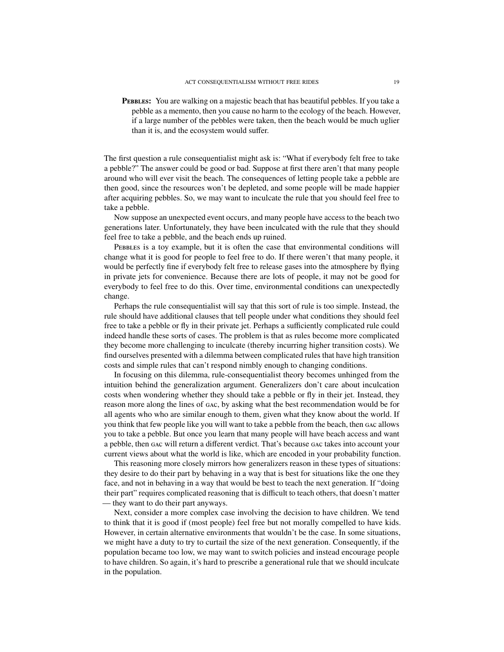Pebbles: You are walking on a majestic beach that has beautiful pebbles. If you take a pebble as a memento, then you cause no harm to the ecology of the beach. However, if a large number of the pebbles were taken, then the beach would be much uglier than it is, and the ecosystem would suffer.

The first question a rule consequentialist might ask is: "What if everybody felt free to take a pebble?" The answer could be good or bad. Suppose at first there aren't that many people around who will ever visit the beach. The consequences of letting people take a pebble are then good, since the resources won't be depleted, and some people will be made happier after acquiring pebbles. So, we may want to inculcate the rule that you should feel free to take a pebble.

Now suppose an unexpected event occurs, and many people have access to the beach two generations later. Unfortunately, they have been inculcated with the rule that they should feel free to take a pebble, and the beach ends up ruined.

PEBBLES is a toy example, but it is often the case that environmental conditions will change what it is good for people to feel free to do. If there weren't that many people, it would be perfectly fine if everybody felt free to release gases into the atmosphere by flying in private jets for convenience. Because there are lots of people, it may not be good for everybody to feel free to do this. Over time, environmental conditions can unexpectedly change.

Perhaps the rule consequentialist will say that this sort of rule is too simple. Instead, the rule should have additional clauses that tell people under what conditions they should feel free to take a pebble or fly in their private jet. Perhaps a sufficiently complicated rule could indeed handle these sorts of cases. The problem is that as rules become more complicated they become more challenging to inculcate (thereby incurring higher transition costs). We find ourselves presented with a dilemma between complicated rules that have high transition costs and simple rules that can't respond nimbly enough to changing conditions.

In focusing on this dilemma, rule-consequentialist theory becomes unhinged from the intuition behind the generalization argument. Generalizers don't care about inculcation costs when wondering whether they should take a pebble or fly in their jet. Instead, they reason more along the lines of gac, by asking what the best recommendation would be for all agents who who are similar enough to them, given what they know about the world. If you think that few people like you will want to take a pebble from the beach, then gac allows you to take a pebble. But once you learn that many people will have beach access and want a pebble, then gac will return a different verdict. That's because gac takes into account your current views about what the world is like, which are encoded in your probability function.

This reasoning more closely mirrors how generalizers reason in these types of situations: they desire to do their part by behaving in a way that is best for situations like the one they face, and not in behaving in a way that would be best to teach the next generation. If "doing their part" requires complicated reasoning that is difficult to teach others, that doesn't matter — they want to do their part anyways.

Next, consider a more complex case involving the decision to have children. We tend to think that it is good if (most people) feel free but not morally compelled to have kids. However, in certain alternative environments that wouldn't be the case. In some situations, we might have a duty to try to curtail the size of the next generation. Consequently, if the population became too low, we may want to switch policies and instead encourage people to have children. So again, it's hard to prescribe a generational rule that we should inculcate in the population.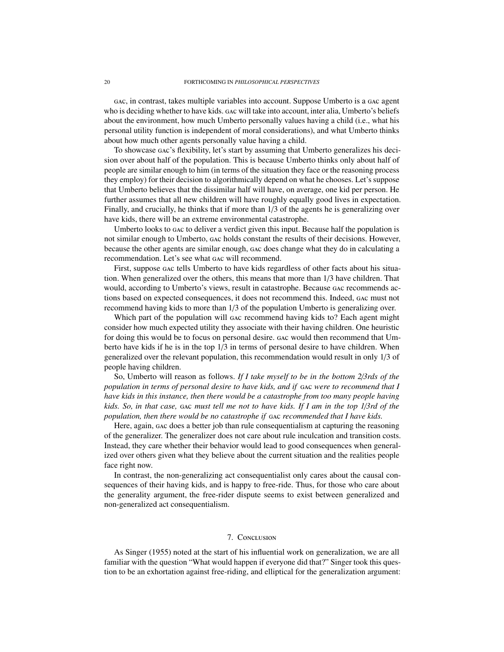gac, in contrast, takes multiple variables into account. Suppose Umberto is a gac agent who is deciding whether to have kids. gac will take into account, inter alia, Umberto's beliefs about the environment, how much Umberto personally values having a child (i.e., what his personal utility function is independent of moral considerations), and what Umberto thinks about how much other agents personally value having a child.

To showcase gac's flexibility, let's start by assuming that Umberto generalizes his decision over about half of the population. This is because Umberto thinks only about half of people are similar enough to him (in terms of the situation they face or the reasoning process they employ) for their decision to algorithmically depend on what he chooses. Let's suppose that Umberto believes that the dissimilar half will have, on average, one kid per person. He further assumes that all new children will have roughly equally good lives in expectation. Finally, and crucially, he thinks that if more than 1/3 of the agents he is generalizing over have kids, there will be an extreme environmental catastrophe.

Umberto looks to gac to deliver a verdict given this input. Because half the population is not similar enough to Umberto, gac holds constant the results of their decisions. However, because the other agents are similar enough, gac does change what they do in calculating a recommendation. Let's see what gac will recommend.

First, suppose gac tells Umberto to have kids regardless of other facts about his situation. When generalized over the others, this means that more than 1/3 have children. That would, according to Umberto's views, result in catastrophe. Because gac recommends actions based on expected consequences, it does not recommend this. Indeed, gac must not recommend having kids to more than 1/3 of the population Umberto is generalizing over.

Which part of the population will gac recommend having kids to? Each agent might consider how much expected utility they associate with their having children. One heuristic for doing this would be to focus on personal desire. gac would then recommend that Umberto have kids if he is in the top 1/3 in terms of personal desire to have children. When generalized over the relevant population, this recommendation would result in only 1/3 of people having children.

So, Umberto will reason as follows. *If I take myself to be in the bottom 2*/*3rds of the population in terms of personal desire to have kids, and if* gac *were to recommend that I have kids in this instance, then there would be a catastrophe from too many people having kids. So, in that case,* gac *must tell me not to have kids. If I am in the top 1*/*3rd of the population, then there would be no catastrophe if* gac *recommended that I have kids.*

Here, again, gac does a better job than rule consequentialism at capturing the reasoning of the generalizer. The generalizer does not care about rule inculcation and transition costs. Instead, they care whether their behavior would lead to good consequences when generalized over others given what they believe about the current situation and the realities people face right now.

In contrast, the non-generalizing act consequentialist only cares about the causal consequences of their having kids, and is happy to free-ride. Thus, for those who care about the generality argument, the free-rider dispute seems to exist between generalized and non-generalized act consequentialism.

# 7. Conclusion

<span id="page-19-0"></span>As [Singer](#page-21-2) [\(1955\)](#page-21-2) noted at the start of his influential work on generalization, we are all familiar with the question "What would happen if everyone did that?" Singer took this question to be an exhortation against free-riding, and elliptical for the generalization argument: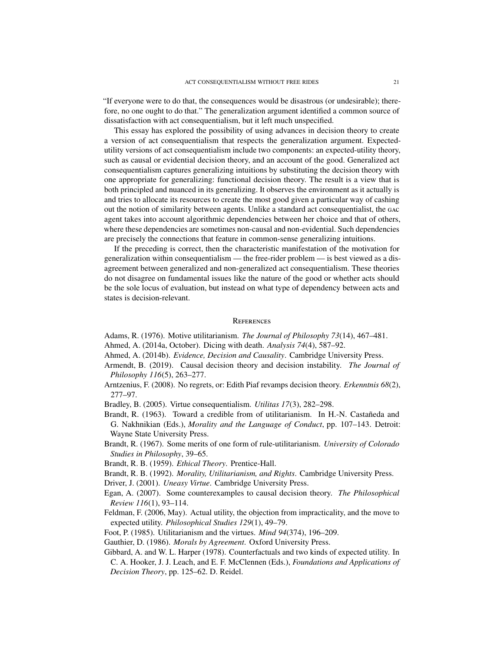"If everyone were to do that, the consequences would be disastrous (or undesirable); therefore, no one ought to do that." The generalization argument identified a common source of dissatisfaction with act consequentialism, but it left much unspecified.

This essay has explored the possibility of using advances in decision theory to create a version of act consequentialism that respects the generalization argument. Expectedutility versions of act consequentialism include two components: an expected-utility theory, such as causal or evidential decision theory, and an account of the good. Generalized act consequentialism captures generalizing intuitions by substituting the decision theory with one appropriate for generalizing: functional decision theory. The result is a view that is both principled and nuanced in its generalizing. It observes the environment as it actually is and tries to allocate its resources to create the most good given a particular way of cashing out the notion of similarity between agents. Unlike a standard act consequentialist, the gac agent takes into account algorithmic dependencies between her choice and that of others, where these dependencies are sometimes non-causal and non-evidential. Such dependencies are precisely the connections that feature in common-sense generalizing intuitions.

If the preceding is correct, then the characteristic manifestation of the motivation for generalization within consequentialism — the free-rider problem — is best viewed as a disagreement between generalized and non-generalized act consequentialism. These theories do not disagree on fundamental issues like the nature of the good or whether acts should be the sole locus of evaluation, but instead on what type of dependency between acts and states is decision-relevant.

### **REFERENCES**

- <span id="page-20-0"></span>Adams, R. (1976). Motive utilitarianism. *The Journal of Philosophy 73*(14), 467–481.
- <span id="page-20-13"></span>Ahmed, A. (2014a, October). Dicing with death. *Analysis 74*(4), 587–92.
- <span id="page-20-10"></span>Ahmed, A. (2014b). *Evidence, Decision and Causality*. Cambridge University Press.
- <span id="page-20-15"></span>Armendt, B. (2019). Causal decision theory and decision instability. *The Journal of Philosophy 116*(5), 263–277.
- <span id="page-20-14"></span>Arntzenius, F. (2008). No regrets, or: Edith Piaf revamps decision theory. *Erkenntnis 68*(2), 277–97.
- <span id="page-20-1"></span>Bradley, B. (2005). Virtue consequentialism. *Utilitas 17*(3), 282–298.
- <span id="page-20-3"></span>Brandt, R. (1963). Toward a credible from of utilitarianism. In H.-N. Castañeda and G. Nakhnikian (Eds.), *Morality and the Language of Conduct*, pp. 107–143. Detroit: Wayne State University Press.
- <span id="page-20-4"></span>Brandt, R. (1967). Some merits of one form of rule-utilitarianism. *University of Colorado Studies in Philosophy*, 39–65.

<span id="page-20-8"></span>Brandt, R. B. (1959). *Ethical Theory*. Prentice-Hall.

- <span id="page-20-6"></span>Brandt, R. B. (1992). *Morality, Utilitarianism, and Rights*. Cambridge University Press.
- <span id="page-20-2"></span>Driver, J. (2001). *Uneasy Virtue*. Cambridge University Press.
- <span id="page-20-12"></span>Egan, A. (2007). Some counterexamples to causal decision theory. *The Philosophical Review 116*(1), 93–114.
- <span id="page-20-7"></span>Feldman, F. (2006, May). Actual utility, the objection from impracticality, and the move to expected utility. *Philosophical Studies 129*(1), 49–79.

<span id="page-20-5"></span>Foot, P. (1985). Utilitarianism and the virtues. *Mind 94*(374), 196–209.

<span id="page-20-11"></span>Gauthier, D. (1986). *Morals by Agreement*. Oxford University Press.

<span id="page-20-9"></span>Gibbard, A. and W. L. Harper (1978). Counterfactuals and two kinds of expected utility. In C. A. Hooker, J. J. Leach, and E. F. McClennen (Eds.), *Foundations and Applications of Decision Theory*, pp. 125–62. D. Reidel.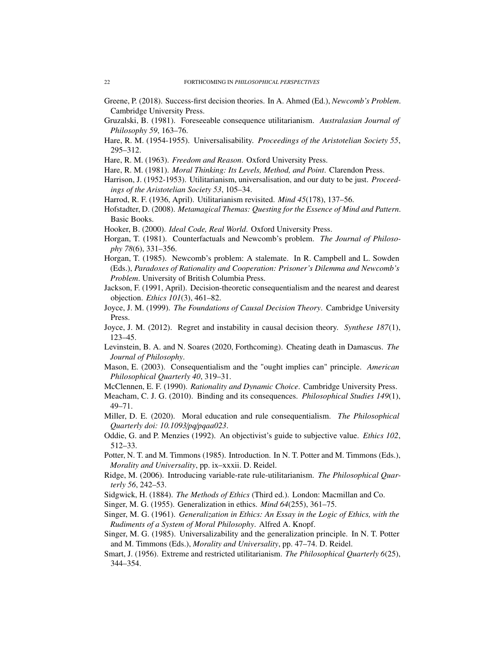- <span id="page-21-23"></span>Greene, P. (2018). Success-first decision theories. In A. Ahmed (Ed.), *Newcomb's Problem*. Cambridge University Press.
- <span id="page-21-14"></span>Gruzalski, B. (1981). Foreseeable consequence utilitarianism. *Australasian Journal of Philosophy 59*, 163–76.
- <span id="page-21-5"></span>Hare, R. M. (1954-1955). Universalisability. *Proceedings of the Aristotelian Society 55*, 295–312.
- <span id="page-21-8"></span>Hare, R. M. (1963). *Freedom and Reason*. Oxford University Press.
- <span id="page-21-10"></span><span id="page-21-4"></span>Hare, R. M. (1981). *Moral Thinking: Its Levels, Method, and Point*. Clarendon Press.
- Harrison, J. (1952-1953). Utilitarianism, universalisation, and our duty to be just. *Proceedings of the Aristotelian Society 53*, 105–34.
- <span id="page-21-3"></span>Harrod, R. F. (1936, April). Utilitarianism revisited. *Mind 45*(178), 137–56.
- <span id="page-21-20"></span>Hofstadter, D. (2008). *Metamagical Themas: Questing for the Essence of Mind and Pattern*. Basic Books.
- <span id="page-21-0"></span>Hooker, B. (2000). *Ideal Code, Real World*. Oxford University Press.
- <span id="page-21-21"></span>Horgan, T. (1981). Counterfactuals and Newcomb's problem. *The Journal of Philosophy 78*(6), 331–356.
- <span id="page-21-22"></span>Horgan, T. (1985). Newcomb's problem: A stalemate. In R. Campbell and L. Sowden (Eds.), *Paradoxes of Rationality and Cooperation: Prisoner's Dilemma and Newcomb's Problem*. University of British Columbia Press.
- <span id="page-21-17"></span>Jackson, F. (1991, April). Decision-theoretic consequentialism and the nearest and dearest objection. *Ethics 101*(3), 461–82.
- <span id="page-21-18"></span>Joyce, J. M. (1999). *The Foundations of Causal Decision Theory*. Cambridge University Press.
- <span id="page-21-26"></span>Joyce, J. M. (2012). Regret and instability in causal decision theory. *Synthese 187*(1), 123–45.
- <span id="page-21-19"></span>Levinstein, B. A. and N. Soares (2020, Forthcoming). Cheating death in Damascus. *The Journal of Philosophy*.
- <span id="page-21-15"></span>Mason, E. (2003). Consequentialism and the "ought implies can" principle. *American Philosophical Quarterly 40*, 319–31.
- <span id="page-21-24"></span>McClennen, E. F. (1990). *Rationality and Dynamic Choice*. Cambridge University Press.
- <span id="page-21-25"></span>Meacham, C. J. G. (2010). Binding and its consequences. *Philosophical Studies 149*(1), 49–71.
- <span id="page-21-13"></span>Miller, D. E. (2020). Moral education and rule consequentialism. *The Philosophical Quarterly doi: 10.1093*/*pq*/*pqaa023*.
- <span id="page-21-16"></span>Oddie, G. and P. Menzies (1992). An objectivist's guide to subjective value. *Ethics 102*, 512–33.
- <span id="page-21-9"></span>Potter, N. T. and M. Timmons (1985). Introduction. In N. T. Potter and M. Timmons (Eds.), *Morality and Universality*, pp. ix–xxxii. D. Reidel.
- <span id="page-21-12"></span>Ridge, M. (2006). Introducing variable-rate rule-utilitarianism. *The Philosophical Quarterly 56*, 242–53.
- <span id="page-21-6"></span>Sidgwick, H. (1884). *The Methods of Ethics* (Third ed.). London: Macmillan and Co.
- <span id="page-21-2"></span>Singer, M. G. (1955). Generalization in ethics. *Mind 64*(255), 361–75.
- <span id="page-21-1"></span>Singer, M. G. (1961). *Generalization in Ethics: An Essay in the Logic of Ethics, with the Rudiments of a System of Moral Philosophy*. Alfred A. Knopf.
- <span id="page-21-7"></span>Singer, M. G. (1985). Universalizability and the generalization principle. In N. T. Potter and M. Timmons (Eds.), *Morality and Universality*, pp. 47–74. D. Reidel.
- <span id="page-21-11"></span>Smart, J. (1956). Extreme and restricted utilitarianism. *The Philosophical Quarterly 6*(25), 344–354.